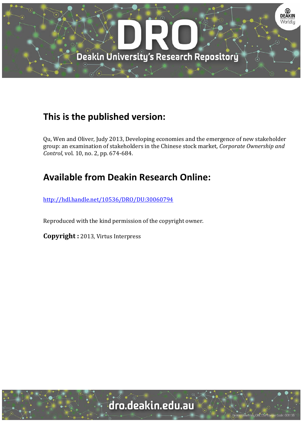

## **This is the published version:**

Qu, Wen and Oliver, Judy 2013, Developing economies and the emergence of new stakeholder group: an examination of stakeholders in the Chinese stock market*, Corporate Ownership and Control*, vol. 10, no. 2, pp. 674-684.

# **Available from Deakin Research Online:**

http://hdl.handle.net/10536/DRO/DU:30060794

Reproduced with the kind permission of the copyright owner.

**Copyright** : 2013, Virtus Interpress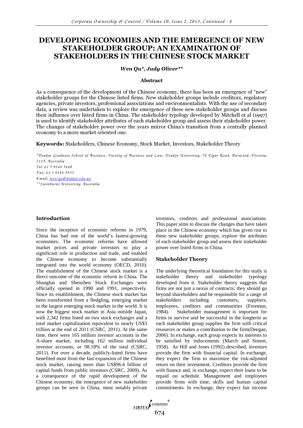### DEVELOPING ECONOMIES AND THE EMERGENCE OF NEW STAKEHOLDER GROUP: AN EXAMINATION OF STAKEHOLDERS IN THE CHINESE STOCK MARKET

#### *Wen Qu\*, Judy Oliver\*\**

#### Abstract

As a consequence of the development of the Chinese economy, there has been an emergence of "new" stakeholder groups for the Chinese listed firms. New stakeholder groups include creditors, regulatory agencies, private investors, professional associations and environmentalists. With the use of secondary data, a review was undertaken to explore the emergence of these new stakeholder groups and discuss their influence over listed firms in China. The stakeholder typology developed by Mitchell et al (1997) is used to identify stakeholder attributes of each stakeholder group and assess their stakeholder power. The changes of stakeholder power over the years mirror China's transition from a centrally planned economy to a more market oriented one.

Keywords: Stakeholders, Chinese Economy, Stock Market, Investors, Stakeholder Theory

*\*D eakin G raduate School of B usiness, F aculty of B usiness and L aw , D eakin U niversity, 70 E lgar R oad, B urw ood, V ictoria, 3125, A ustralia Tel: 61 3 9244 5440 F ax: 61 3 9244 5533 E m ail: w en.qu@ deakin.edu.au \*\*Sw inburne U niversity, A ustralia* 

#### Introduction

Since the inception of economic reforms in 1979, China has had one of the world's fastest-growing economies. The economic reforms have allowed market prices and private investors to play a significant role in production and trade, and enabled the Chinese economy to become substantially integrated into the world economy (OECD, 2010). The establishment of the Chinese stock market is a direct outcome of the economic reform in China. The Shanghai and Shenzhen Stock Exchanges were officially opened in 1990 and 1991, respectively. Since its establishment, the Chinese stock market has been transformed from a fledgling, emerging market to the largest emerging stock market in the world. It is now the biggest stock market in Asia outside Japan, with 2,342 firms listed on two stock exchanges and a total market capitalization equivalent to nearly US\$3 trillion at the end of 2011 (CSRC, 2011). At the same time, there were 165 million investor accounts in the A-share market, including 162 million individual investor accounts, or 98.18% of the total (CSRC, 2011). For over a decade, publicly-listed firms have benefited most from the fast expansion of the Chinese stock market, raising more than US\$96.6 billion of capital funds from public investors (CSRC, 2009). As a consequence of the rapid development of the Chinese economy, the emergence of new stakeholder groups can be seen in China, most notably private investors, creditors and professional associations. This paper aims to discuss the changes that have taken place in the Chinese economy which has given rise to these new stakeholder groups, explore the attributes of each stakeholder group and assess their stakeholder power over listed firms in China.

#### Stakeholder Theory

The underlying theoretical foundation for this study is stakeholder theory and stakeholder typology developed from it. Stakeholder theory suggests that firms are not just a nexus of contracts; they should go beyond shareholders and be responsible for a range of stakeholders including customers, suppliers, employees, creditors and communities (Freeman, 1984). Stakeholder management is important for firms to survive and be successful in the longterm as each stakeholder group supplies the firm with critical resources or makes a contribution to the firm(Deegan, 2006). In exchange, each group expects its interests to be satisfied by inducements (March and Simon, 1958). As Hill and Jones (1992) described, investors provide the firm with financial capital. In exchange, they expect the firm to maximize the risk-adjusted return on their investment. Creditors provide the firm with finance and, in exchange, expect their loans to be repaid on schedule. Management and employees provide firms with time, skills and human capital commitments. In exchange, they expect fair income

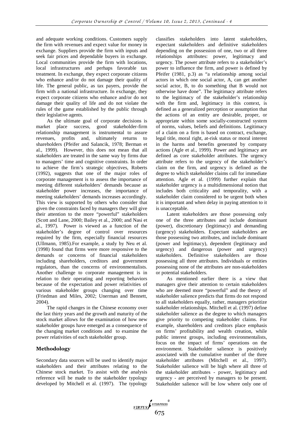and adequate working conditions. Customers supply the firm with revenues and expect value for money in exchange. Suppliers provide the firm with inputs and seek fair prices and dependable buyers in exchange. Local communities provide the firm with locations, local infrastructures and perhaps favorable tax treatment. In exchange, they expect corporate citizens who enhance and/or do not damage their quality of life. The general public, as tax payers, provide the firm with a national infrastructure. In exchange, they expect corporate citizens who enhance and/or do not damage their quality of life and do not violate the rules of the game established by the public through their legislative agents.

As the ultimate goal of corporate decisions is market place success, good stakeholder-firm relationship management is instrumental to assure revenues, profits and, ultimately returns to shareholders (Pfeifer and Salancik, 1978; Berman et al., 1999). However, this does not mean that all stakeholders are treated in the same way by firms due to managers' time and cognitive constraints. In order to achieve the firm's strategic objectives, Roberts (1992), suggests that one of the major roles of corporate management is to assess the importance of meeting different stakeholders' demands because as stakeholder power increases, the importance of meeting stakeholders' demands increases accordingly. This view is supported by others who consider that given the constraints faced by managers they will give their attention to the more "powerful" stakeholders (Scott and Lane, 2000; Bailey et al., 2000; and Nasi et al., 1997). Power is viewed as a function of the stakeholder's degree of control over resources required by the firm, especially financial resources (Ullmann, 1985).For example, a study by Neu et al. (1998) found that firms were more responsive to the demands or concerns of financial stakeholders including shareholders, creditors and government regulators, than the concerns of environmentalists. Another challenge to corporate management is in relation to their operating and reporting behaviors because of the expectation and power relativities of various stakeholder groups changing over time (Friedman and Miles, 2002; Unerman and Bennett, 2004).

The rapid changes in the Chinese economy over the last thirty years and the growth and maturity of the stock market allows for the examination of how new stakeholder groups have emerged as a consequence of the changing market conditions and to examine the power relativities of each stakeholder group.

#### Methodology

Secondary data sources will be used to identify major stakeholders and their attributes relating to the Chinese stock market. To assist with the analysis reference will be made to the stakeholder typology developed by Mitchell et al. (1997). The typology classifies stakeholders into latent stakeholders, expectant stakeholders and definitive stakeholders depending on the possession of one, two or all three relationships attributes: power, legitimacy and urgency. The power attribute refers to a stakeholder's power to influence the firm, and power is defined by Pfeifer (1981, p.3) as "a relationship among social actors in which one social actor, A, can get another social actor, B, to do something that B would not otherwise have done". The legitimacy attribute refers to the legitimacy of the stakeholder's relationship with the firm and, legitimacy in this context, is defined as a generalized perception or assumption that the actions of an entity are desirable, proper, or appropriate within some socially-constructed system of norms, values, beliefs and definitions. Legitimacy of a claim on a firm is based on contract, exchange, legal title, moral right, at-risk status or moral interest in the harms and benefits generated by company actions (Agle et al., 1999). Power and legitimacy are defined as core stakeholder attributes. The urgency attribute refers to the urgency of the stakeholder's claim on the firm, and urgency is defined as the degree to which stakeholder claims call for immediate attention. Agle et al. (1999) further explain that stakeholder urgency is a multidimensional notion that includes both criticality and temporality, with a stakeholder claim considered to be urgent both when it is important and when delay in paying attention to it is unacceptable.

Latent stakeholders are those possessing only one of the three attributes and include dominant (power), discretionary (legitimacy) and demanding (urgency) stakeholders. Expectant stakeholders are those possessing two attributes, and include dominant (power and legitimacy), dependent (legitimacy and urgency) and dangerous (power and urgency) stakeholders. Definitive stakeholders are those possessing all three attributes. Individuals or entities possessing none of the attributes are non-stakeholders or potential stakeholders.

As mentioned earlier there is a view that managers give their attention to certain stakeholders who are deemed more "powerful" and the theory of stakeholder salience predicts that firms do not respond to all stakeholders equally, rather, managers prioritize stakeholder relationships. Mitchell et al. (1997) define stakeholder salience as the degree to which managers give priority to competing stakeholder claims. For example, shareholders and creditors place emphasis on firms' profitability and wealth creation, while public interest groups, including environmentalists, focus on the impact of firms' operations on the environment. Stakeholder salience is positively associated with the cumulative number of the three stakeholder attributes (Mitchell et al., 1997). Stakeholder salience will be high where all three of the stakeholder attributes - power, legitimacy and urgency - are perceived by managers to be present. Stakeholder salience will be low where only one of

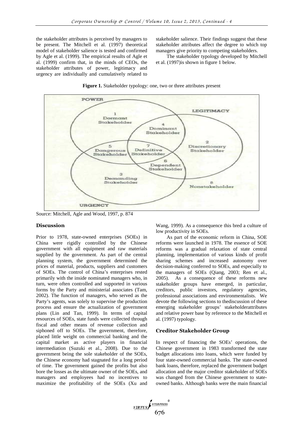the stakeholder attributes is perceived by managers to be present. The Mitchell et al. (1997) theoretical model of stakeholder salience is tested and confirmed by Agle et al. (1999). The empirical results of Agle et al. (1999) confirm that, in the minds of CEOs, the stakeholder attributes of power, legitimacy and urgency are individually and cumulatively related to stakeholder salience. Their findings suggest that these stakeholder attributes affect the degree to which top managers give priority to competing stakeholders.

The stakeholder typology developed by Mitchell et al. (1997)is shown in figure 1 below.



#### **Figure 1.** Stakeholder typology: one, two or three attributes present

Source: Mitchell, Agle and Wood, 1997, p. 874

#### Discussion

Prior to 1978, state-owned enterprises (SOEs) in China were rigidly controlled by the Chinese government with all equipment and raw materials supplied by the government. As part of the central planning system, the government determined the prices of material, products, suppliers and customers of SOEs. The control of China's enterprises rested primarily with the inside nominated managers who, in turn, were often controlled and supported in various forms by the Party and ministerial associates (Tam, 2002). The function of managers, who served as the Party's agents, was solely to supervise the production process and ensure the actualization of government plans (Lin and Tan, 1999). In terms of capital resources of SOEs, state funds were collected through fiscal and other means of revenue collection and siphoned off to SOEs. The government, therefore, placed little weight on commercial banking and the capital market as active players in financial intermediation (Suzuki et al., 2008). Due to the government being the sole stakeholder of the SOEs, the Chinese economy had stagnated for a long period of time. The government gained the profits but also bore the losses as the ultimate owner of the SOEs, and managers and employees had no incentives to maximize the profitability of the SOEs (Xu and

Wang, 1999). As a consequence this bred a culture of low productivity in SOEs.

As part of the economic reform in China, SOE reforms were launched in 1978. The essence of SOE reforms was a gradual relaxation of state central planning, implementation of various kinds of profit sharing schemes and increased autonomy over decision-making conferred to SOEs, and especially to the managers of SOEs (Qiang, 2003; Ren et al., 2005). As a consequence of these reforms new stakeholder groups have emerged, in particular, creditors, public investors, regulatory agencies, professional associations and environmentalists. We devote the following sections to thediscussion of these emerging stakeholder groups' stakeholderattributes and relative power base by reference to the Mitchell et al. (1997) typology.

#### Creditor Stakeholder Group

In respect of financing the SOEs' operations, the Chinese government in 1983 transformed the state budget allocations into loans, which were funded by four state-owned commercial banks. The state-owned bank loans, therefore, replaced the government budget allocation and the major creditor stakeholder of SOEs was changed from the Chinese government to stateowned banks. Although banks were the main financial

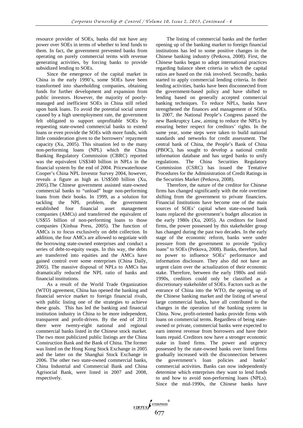resource provider of SOEs, banks did not have any power over SOEs in terms of whether to lend funds to them. In fact, the government prevented banks from operating on purely commercial terms with revenue generating activities, by forcing banks to provide subsidized lending to SOEs.

Since the emergence of the capital market in China in the early 1990's, some SOEs have been transformed into shareholding companies, obtaining funds for further development and expansion from public investors. However, the majority of poorlymanaged and inefficient SOEs in China still relied upon bank loans. To avoid the potential social unrest caused by a high unemployment rate, the government felt obligated to support unprofitable SOEs by requesting state-owned commercial banks to extend loans or even provide the SOEs with more funds, with little consideration given to the borrowers' repayment capacity (Xu, 2005). This situation led to the many non-performing loans (NPL) which the China Banking Regulatory Commission (CBRC) reported was the equivalent US\$340 billion in NPLs in the financial system by the end of 2004. Pricewaterhouse Cooper's China NPL Investor Survey 2004, however, reveals a figure as high as US\$500 billion (Xu, 2005).The Chinese government assisted state-owned commercial banks to "unload" huge non-performing loans from their books. In 1999, as a solution for tackling the NPL problem, the government established four financial asset management companies (AMCs) and transferred the equivalent of US\$55 billion of non-performing loans to those companies (Xinhua Press, 2005). The function of AMCs is to focus exclusively on debt collection. In addition, the four AMCs are allowed to negotiate with the borrowing state-owned enterprises and conduct a series of debt-to-equity swaps. In this way, the debts are transferred into equities and the AMCs have gained control over some enterprises (China Daily, 2005). The massive disposal of NPLs to AMCs has dramatically reduced the NPL ratio of banks and financial institutions.

As a result of the World Trade Organization (WTO) agreement, China has opened the banking and financial service market to foreign financial rivals, with public listing one of the strategies to achieve these goals. This has led the banking and financial institution industry in China to be more independent, transparent and profit-driven. By the end of 2011 there were twenty-eight national and regional commercial banks listed in the Chinese stock market. The two most publicized public listings are the China Construction Bank and the Bank of China. The former was listed on the Hong Kong Stock Exchange in 2005 and the latter on the Shanghai Stock Exchange in 2006. The other two state-owned commercial banks, China Industrial and Commercial Bank and China Agrisocial Bank, were listed in 2007 and 2008, respectively.

The listing of commercial banks and the further opening up of the banking market to foreign financial institutions has led to some positive changes in the Chinese banking industry (Petkova, 2008). First, the Chinese banks began to adopt international practices regarding balance sheet criteria in which the capital ratios are based on the risk involved. Secondly, banks started to apply commercial lending criteria. In their lending activities, banks have been disconnected from the government-based policy and have shifted to lending based on generally accepted commercial banking techniques. To reduce NPLs, banks have strengthened the finances and management of SOEs. In 2007, the National People's Congress passed the new Bankruptcy Law, aiming to reduce the NPLs by ensuring better respect for creditors' rights. In the same year, some steps were taken to build national standards and networks for credit assessment. The central bank of China, the People's Bank of China (PBOC), has sought to develop a national credit information database and has urged banks to unify regulations. The China Securities Regulatory Commission (CSRC) has issued the Tentative Procedures for the Administration of Credit Ratings in the Securities Market (Petkova, 2008).

Therefore, the nature of the creditor for Chinese firms has changed significantly with the role overtime shifting from the government to private financiers. Financial Institutions have become one of the main sources of SOEs' capital when state-owned bank loans replaced the government's budget allocation in the early 1980s (Xu, 2005). As creditors for listed firms, the power possessed by this stakeholder group has changed during the past two decades. In the early stage of the economic reform, banks were under pressure from the government to provide "policy loans" to SOEs (Petkova, 2008). Banks, therefore, had no power to influence SOEs' performance and information disclosure. They also did not have an urgent claim over the actualization of their economic stake. Therefore, between the early 1980s and mid-1990s, creditors could only be classified as a discretionary stakeholder of SOEs. Factors such as the entrance of China into the WTO, the opening up of the Chinese banking market and the listing of several large commercial banks, have all contributed to the changes in the operation of the banking system in China. Now, profit-oriented banks provide firms with loans on commercial terms. Regardless of being stateowned or private, commercial banks were expected to earn interest revenue from borrowers and have their loans repaid. Creditors now have a stronger economic stake in listed firms. The power and urgency possessed by the state-owned banks over listed firms gradually increased with the disconnection between the government's loan policies and banks' commercial activities. Banks can now independently determine which enterprises they want to lend funds to and how to avoid non-performing loans (NPLs). Since the mid-1990s, the Chinese banks have

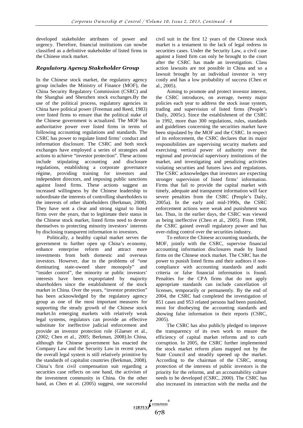developed stakeholder attributes of power and urgency. Therefore, financial institutions can nowbe classified as a definitive stakeholder of listed firms in the Chinese stock market.

#### *Regulatory Agency Stakeholder Group*

In the Chinese stock market, the regulatory agency group includes the Ministry of Finance (MOF), the China Security Regulatory Commission (CSRC) and the Shanghai and Shenzhen stock exchanges.By the use of the political process, regulatory agencies in China have political power (Freeman and Reed, 1983) over listed firms to ensure that the political stake of the Chinese government is actualized. The MOF has authoritative power over listed firms in terms of following accounting regulations and standards. The CSRC has power to regulate listed firms' conduct and information disclosure. The CSRC and both stock exchanges have employed a series of strategies and actions to achieve "investor protection". These actions include stipulating accounting and disclosure regulations, establishing a corporate governance régime, providing training for investors and independent directors, and imposing public sanctions against listed firms. These actions suggest an increased willingness by the Chinese leadership to subordinate the interests of controlling shareholders to the interests of other shareholders (Berkman, 2008). They have sent a clear and strong signal to listed firms over the years, that to legitimate their status in the Chinese stock market, listed firms need to devote themselves to protecting minority investors' interests by disclosing transparent information to investors.

Politically, a healthy capital market serves the government to further open up China's economy, enhance enterprise reform and attract more investments from both domestic and overseas investors. However, due to the problems of "one dominating state-owned share monopoly" and "insider control", the minority or public investors' interests have been expropriated by majority shareholders since the establishment of the stock market in China. Over the years, "investor protection" has been acknowledged by the regulatory agency group as one of the most important measures for supporting the steady growth of the Chinese stock market.In emerging markets with relatively weak legal systems, regulators can provide an effective substitute for ineffective judicial enforcement and provide an investor protection role (Glaeser et al., (2002; Chen et al., 2005; Berkman, 2008).In China, although the Chinese government has enacted the Company Law and the Security Law in recent years, the overall legal system is still relatively primitive by the standards of capitalist countries (Berkman, 2008). China's first civil compensation suit regarding a securities case reflects on one hand, the activism of the investment community in China. On the other hand, as Chen et al. (2005) suggest, one successful civil suit in the first 12 years of the Chinese stock market is a testament to the lack of legal redress in securities cases. Under the Security Law, a civil case against a listed firm can only be brought to the court after the CSRC has made an investigation. Class action lawsuits are not possible in China and so a lawsuit brought by an individual investor is very costly and has a low probability of success (Chen et al., 2005).

Aiming to promote and protect investor interest, the CSRC introduces, on average, twenty major policies each year to address the stock issue system, trading and supervision of listed firms (People's Daily, 2005c). Since the establishment of the CSRC in 1992, more than 300 regulations, rules, standards and guidelines concerning the securities market have been stipulated by the MOF and the CSRC. In respect of its enforcement, the CSRC declares that its major responsibilities are supervising security markets and exercising vertical power of authority over the regional and provincial supervisory institutions of the market, and investigating and penalizing activities violating securities and futures laws and regulations. The CSRC acknowledges that investors are expecting stronger supervision of listed firms' information. Firms that fail to provide the capital market with timely, adequate and transparent information will face severe penalties from the CSRC (People's Daily, 2005a). In the early and mid-1990s, the CSRC enforcement actions were weak and punishment was lax. Thus, in the earlier days, the CSRC was viewed as being ineffective (Chen et al., 2005). From 1998, the CSRC gained overall regulatory power and has over-riding control over the securities industry.

To enforce the Chinese accounting standards, the MOF, jointly with the CSRC, supervise financial accounting information disclosures made by listed firms on the Chinese stock market. The CSRC has the power to punish listed firms and their auditors if noncompliance with accounting standards and audit criteria or false financial information is found. Penalties for the CPA firms that do not apply appropriate standards can include cancellation of licenses, temporarily or permanently. By the end of 2004, the CSRC had completed the investigation of 851 cases and 953 related persons had been punished, most for disobeying the accounting standards and showing false information in their reports (CSRC, 2005).

The CSRC has also publicly pledged to improve the transparency of its own work to ensure the efficiency of capital market reforms and to curb corruption. In 2005, the CSRC further implemented the stock market reform plans mapped out by the State Council and steadily opened up the market. According to the chairman of the CSRC, strong protection of the interests of public investors is the priority for the reforms, and an accountability culture needs to be developed (CSRC, 2000). The CSRC has also increased its interaction with the media and the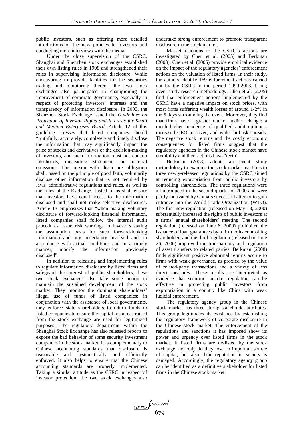public investors, such as offering more detailed introductions of the new policies to investors and conducting more interviews with the media.

Under the close supervision of the CSRC, Shanghai and Shenzhen stock exchanges established their own listing rules in 1998 and strengthened their roles in supervising information disclosure. While endeavoring to provide facilities for the securities trading and monitoring thereof, the two stock exchanges also participated in championing the improvement of corporate governance, especially in respect of protecting investors' interests and the transparency of information disclosure. In 2003, the Shenzhen Stock Exchange issued the *Guidelines on Protection of Investor Rights and Interests for Small and Medium Enterprises Board*. Article 12 of this guideline stresses that listed companies should "truthfully, accurately, completely and timely disclose the information that may significantly impact the price of stocks and derivatives or the decision-making of investors, and such information must not contain falsehoods, misleading statements or material omissions. The person with disclosure obligation shall, based on the principle of good faith, voluntarily disclose other information that is not required by laws, administrative regulations and rules, as well as the rules of the Exchange. Listed firms shall ensure that investors have equal access to the information disclosed and shall not make selective disclosure". Article 13 emphasizes that "when making voluntary disclosure of forward-looking financial information, listed companies shall follow the internal audit procedures, issue risk warnings to investors stating the assumption basis for such forward-looking information and any uncertainty involved and, in accordance with actual conditions and in a timely manner, modify the information previously disclosed".

In addition to releasing and implementing rules to regulate information disclosure by listed firms and safeguard the interest of public shareholders, these two stock exchanges also take some action to maintain the sustained development of the stock market. They monitor the dominant shareholders' illegal use of funds of listed companies; in conjunction with the assistance of local governments, they enforce state shareholders to return funds to listed companies to ensure the capital resources raised from the stock exchange are used for legitimized purposes. The regulatory department within the Shanghai Stock Exchange has also released reports to expose the bad behavior of some security investment companies in the stock market. It is complementary to Chinese accounting standards that disclosure is reasonable and systematically and efficiently enforced. It also helps to ensure that the Chinese accounting standards are properly implemented. Taking a similar attitude as the CSRC in respect of investor protection, the two stock exchanges also

undertake strong enforcement to promote transparent disclosure in the stock market.

Market reactions to the CSRC's actions are investigated by Chen et al. (2005) and Berkman (2008). Chen et al. (2005) provide empirical evidence on the impact of the regulatory agencies' enforcement actions on the valuation of listed firms. In their study, the authors identify 169 enforcement actions carried out by the CSRC in the period 1999-2003. Using event study research methodology, Chen et al. (2005) find that enforcement actions implemented by the CSRC have a negative impact on stock prices, with most firms suffering wealth losses of around 1-2% in the 5 days surrounding the event. Moreover, they find that firms have a greater rate of auditor change; a much higher incidence of qualified audit opinions; increased CEO turnover; and wider bid-ask spreads. The negative stock returns and the costly economic consequences for listed firms suggest that the regulatory agencies in the Chinese stock market have credibility and their actions have "teeth".

Berkman (2008) adopts an event study methodology to examine the stock market reactions to three newly-released regulations by the CSRC aimed at reducing expropriation from public investors by controlling shareholders. The three regulations were all introduced in the second quarter of 2000 and were partly motivated by China's successful attempt to gain entrance into the World Trade Organization (WTO). The first new regulation (released on May 18, 2000) substantially increased the rights of public investors at a firms' annual shareholders' meeting. The second regulation (released on June 6, 2000) prohibited the issuance of loan guarantees by a firm to its controlling shareholder, and the third regulation (released on June 26, 2000) improved the transparency and regulation of asset transfers to related parties. Berkman (2008) finds significant positive abnormal returns accrue to firms with weak governance, as proxied by the value of related-party transactions and a variety of less direct measures. These results are interpreted as evidence that securities market regulation can be effective in protecting public investors from expropriation in a country like China with weak judicial enforcement.

The regulatory agency group in the Chinese stock market has three strong stakeholder-attributes. This group legitimates its existence by establishing the regulatory framework of corporate disclosure in the Chinese stock market. The enforcement of the regulations and sanctions it has imposed show its power and urgency over listed firms in the stock market. If listed firms are de-listed by the stock exchange, not only do they lose an important source of capital, but also their reputation in society is damaged. Accordingly, the regulatory agency group can be identified as a definitive stakeholder for listed firms in the Chinese stock market.

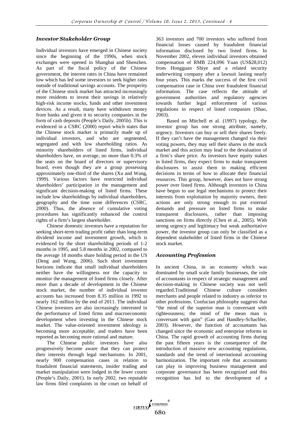#### *Investor Stakeholder Group*

Individual investors have emerged in Chinese society since the beginning of the 1990s, when stock exchanges were opened in Shanghai and Shenzhen. As part of the fiscal policy of the Chinese government, the interest rates in China have remained low which has led some investors to seek higher rates outside of traditional savings accounts. The prosperity of the Chinese stock market has attracted increasingly more residents to invest their savings in relatively high-risk income stocks, funds and other investment devices. As a result, many have withdrawn money from banks and given it to security companies in the form of cash deposits (People's Daily, 2005b). This is evidenced in a CSRC (2000) report which states that the Chinese stock market is primarily made up of individual investors, and who are segmented, segregated and with low shareholding ratios. As minority shareholders of listed firms, individual shareholders have, on average, no more than 0.3% of the seats on the board of directors or supervisory board, even though they are a group possessing approximately one-third of the shares (Xu and Wang, 1999). Various factors have restricted individual shareholders' participation in the management and significant decision-making of listed firms. These include low shareholdings by individual shareholders, geography and the time zone differences (CSRC, 2000). Thus, the absence of cumulative voting procedures has significantly enhanced the control rights of a firm's largest shareholder.

Chinese domestic investors have a reputation for seeking short-term trading profit rather than long-term dividend income and investment growth, which is evidenced by the short shareholding periods of 1-2 months in 1995, and 5.8 months in 2002, compared to the average 18 months share holding period in the US (Deng and Wang, 2006). Such short investment horizons indicate that small individual shareholders neither have the willingness nor the capacity to monitor the management of listed firms closely. After more than a decade of development in the Chinese stock market, the number of individual investor accounts has increased from 8.35 million in 1992 to nearly 162 million by the end of 2011. The individual Chinese investors are also increasingly interested in the performance of listed firms and macroeconomic development when investing in the Chinese stock market. The value-oriented investment ideology is becoming more acceptable; and traders have been reported as becoming more rational and mature.

The Chinese public investors have also progressively become aware that they can protect their interests through legal mechanisms. In 2001, nearly 900 compensation cases in relation to fraudulent financial statements, insider trading and market manipulation were lodged in the lower courts (People's Daily, 2001). In early 2002, two reputable law firms filed complaints in the court on behalf of 363 investors and 700 investors who suffered from financial losses caused by fraudulent financial information disclosed by two listed firms. In November 2002, eleven individual investors obtained compensation of RMB 224,096 Yuan (US\$28,012) from Hongguan Shiye and a related security underwriting company after a lawsuit lasting nearly four years. This marks the success of the first civil compensation case in China over fraudulent financial information. The case reflects the attitude of government authorities and regulatory agencies towards further legal enforcement of various regulations in respect of listed companies (Shao, 2003).

Based on Mitchell et al. (1997) typology, the investor group has one strong attribute, namely, urgency. Investors can buy or sell their shares freely. If they can't have the management changed via their voting powers, they may sell their shares in the stock market and this action may lead to the devaluation of a firm's share price. As investors have equity stakes in listed firms, they expect firms to make transparent disclosures to assist them in making efficient decisions in terms of how to allocate their financial resources. This group, however, does not have strong power over listed firms. Although investors in China have begun to use legal mechanisms to protect their interests from exploitation by majority owners, their actions are only strong enough to put external demands and pressure on listed firms to make transparent disclosures, rather than imposing sanctions on firms directly (Chen et al., 2005). With strong urgency and legitimacy but weak authoritative power, the investor group can only be classified as a dependent stakeholder of listed firms in the Chinese stock market.

#### *Accounting Profession*

In ancient China, in an economy which was dominated by small scale family businesses, the role of accountants in respect of strategic management and decision-making in Chinese society was not well regarded.Traditional Chinese culture considers merchants and people related to industry as inferior to other professions. Confucian philosophy suggests that "the mind of the superior man is conversant with righteousness; the mind of the mean man is conversant with gain" (Gao and Handley-Schachler, 2003). However, the function of accountants has changed since the economic and enterprise reforms in China. The rapid growth of accounting firms during the past fifteen years is the consequence of the introduction of massive new accounting regulations, standards and the trend of international accounting harmonization. The important role that accountants can play in improving business management and corporate governance has been recognized and this recognition has led to the development of a

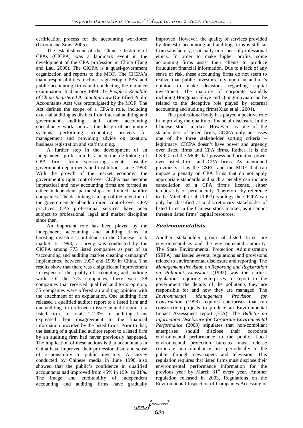certification process for the accounting workforce (Groom and Sims, 2005).

The establishment of the Chinese Institute of CPAs (CICPA) was a landmark event in the development of the CPA profession in China (Tang and Lau, 2000). The CICPA is a quasi-government organization and reports to the MOF. The CICPA's main responsibilities include registering CPAs and public accounting firms and conducting the entrance examination. In January 1994, the *People's Republic of China Registered Accountant Law* (Certified Public Accountants Act) was promulgated by the MOF. The Act defines the scope of a CPA's role, including external auditing as distinct from internal auditing and government auditing, and other accounting consultancy work such as the design of accounting systems, performing accounting projects for management and providing advice on taxation, business registration and staff training.

A further step in the development of an independent profession has been the de-linking of CPA firms from sponsoring agents, usually government departments and institutions, since 1998. With the growth of the market economy, the government's tight control over CICPA has become impractical and now accounting firms are formed as either independent partnerships or limited liability companies. The de-linking is a sign of the intention of the government to abandon direct control over CPA practices. CPA professional services have been subject to professional, legal and market discipline since then.

An important role has been played by the independent accounting and auditing firms in boosting investors' confidence in the Chinese stock market. In 1998, a survey was conducted by the CICPA among 773 listed companies as part of an "accounting and auditing market cleaning campaign" implemented between 1997 and 1999 in China. The results show that there was a significant improvement in respect of the quality of accounting and auditing work. Of the 773 companies, there were 38 companies that received qualified auditor's opinion, 55 companies were offered an auditing opinion with the attachment of an explanation. One auditing firm released a qualified auditor report to a listed firm and one auditing firm refused to issue an audit report to a listed firm. In total, 12.29% of auditing firms expressed their disagreement to the financial information provided by the listed firms. Prior to that, the issuing of a qualified auditor report to a listed firm by an auditing firm had never previously happened. The implication of these actions is that accountants in China have improved their professionalism and sense of responsibility to public investors. A survey conducted by Chinese media in June 1998 also showed that the public's confidence in qualified accountants had improved from 45% in 1994 to 81%. The image and creditability of independent accounting and auditing firms have gradually improved. However, the quality of services provided by domestic accounting and auditing firms is still far from satisfactory, especially in respect of professional ethics. In order to make higher profits, some accounting firms assist their clients to produce fraudulent financial information. Due to a lack of any sense of risk, these accounting firms do not seem to realize that public investors rely upon an auditor's opinion to make decisions regarding capital investment. The majority of corporate scandals including Hongguan Shiye and Qiongminyuan can be related to the deceptive role played by external accounting and auditing firms(Xiao et al., 2004).

This professional body has played a positive role in improving the quality of financial disclosure in the Chinese stock market. However, as one of the stakeholders of listed firms, CICPA only possesses one of the three stakeholder sorting criteria – legitimacy. CICPA doesn't have power and urgency over listed firms and CPA firms. Rather, it is the CSRC and the MOF that possess authoritative power over listed firms and CPA firms. As mentioned previously, it is the CSRC and the MOF that can impose a penalty on CPA firms that do not apply appropriate standards and such a penalty can include cancellation of a CPA firm's license, either temporarily or permanently. Therefore, by reference to the Mitchell et al. (1997) typology the CICPA can only be classified as a discretionary stakeholder of listed firms in the Chinese stock market, as it cannot threaten listed firms' capital resources.

### *Environmentalists*

Another stakeholder group of listed firms are environmentalists and the environmental authority. The State Environmental Protection Administration (SEPA) has issued several regulations and provisions related to environmental disclosure and reporting. The *Management Provision on Reporting and Registration on Pollutant Emissions* (1992) was the earliest regulation, requiring enterprises to report to the government the details of the pollutants they are responsible for and how they are managed. The *Environmental Management Provision for Construction* (1998) requires enterprises that run construction projects to produce an Environmental Impact Assessment report (EIA). The *Bulletin on Information Disclosure for Corporate Environmental Performance* (2003) stipulates that non-compliant enterprises should disclose their corporate environmental performance to the public. Local environmental protection bureaux must release corporate non-compliance lists periodically to the public through newspapers and television. This regulation requires that listed firms must disclose their environmental performance information for the previous year by March  $31<sup>st</sup>$  every year. Another regulation released in 2003, Regulations on the Environmental Inspection of Companies Accessing or

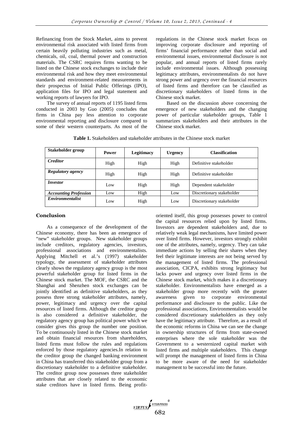Refinancing from the Stock Market, aims to prevent environmental risk associated with listed firms from certain heavily polluting industries such as metal, chemicals, oil, coal, thermal power and construction materials. The CSRC requires firms wanting to be listed on the Chinese stock exchanges to include their environmental risk and how they meet environmental standards and environment-related measurements in their prospectus of Initial Public Offerings (IPO), application files for IPO and legal statement and working reports of lawyers for IPO.

The survey of annual reports of 1195 listed firms conducted in 2003 by Guo (2005) concludes that firms in China pay less attention to corporate environmental reporting and disclosure compared to some of their western counterparts. As most of the

regulations in the Chinese stock market focus on improving corporate disclosure and reporting of firms' financial performance rather than social and environmental issues, environmental disclosure is not popular, and annual reports of listed firms rarely include environmental issues. Although possessing legitimacy attributes, environmentalists do not have strong power and urgency over the financial resources of listed firms and therefore can be classified as discretionary stakeholders of listed firms in the Chinese stock market.

Based on the discussion above concerning the emergence of new stakeholders and the changing power of particular stakeholder groups, Table 1 summarizes stakeholders and their attributes in the Chinese stock market.

**Table 1.** Stakeholders and stakeholder attributes in the Chinese stock market

| Stakeholder group              | <b>Power</b> | Legitimacy | <b>Urgency</b> | <b>Classification</b>     |
|--------------------------------|--------------|------------|----------------|---------------------------|
| <b>Creditor</b>                | High         | High       | High           | Definitive stakeholder    |
| Regulatory agency              | High         | High       | High           | Definitive stakeholder    |
| <i>Investor</i>                | Low          | High       | High           | Dependent stakeholder     |
| <b>Accounting Profession</b>   | Low          | High       | Low            | Discretionary stakeholder |
| <i><b>Environmentalist</b></i> | Low          | High       | Low            | Discretionary stakeholder |

#### Conclusion

As a consequence of the development of the Chinese economy, there has been an emergence of "new" stakeholder groups. New stakeholder groups include creditors, regulatory agencies, investors, professional associations and environmentalists. Applying Mitchell et al.'s (1997) stakeholder typology, the assessment of stakeholder attributes clearly shows the regulatory agency group is the most powerful stakeholder group for listed firms in the Chinese stock market. The MOF, the CSRC and the Shanghai and Shenzhen stock exchanges can be jointly identified as definitive stakeholders, as they possess three strong stakeholder attributes, namely, power, legitimacy and urgency over the capital resources of listed firms. Although the creditor group is also considered a definitive stakeholder, the regulatory agency group has political power which we consider gives this group the number one position. To be continuously listed in the Chinese stock market and obtain financial resources from shareholders, listed firms must follow the rules and regulations enforced by those regulatory agencies.In relation to the creditor group the changed banking environment in China has transferred this stakeholder group from a discretionary stakeholder to a definitive stakeholder. The creditor group now possesses three stakeholder attributes that are closely related to the economic stake creditors have in listed firms. Being profitoriented itself, this group possesses power to control the capital resources relied upon by listed firms. Investors are dependent stakeholders and, due to relatively weak legal mechanisms, have limited power over listed firms. However, investors strongly exhibit one of the attributes, namely, urgency. They can take immediate actions by selling their shares when they feel their legitimate interests are not being served by the management of listed firms. The professional association, CICPA, exhibits strong legitimacy but lacks power and urgency over listed firms in the Chinese stock market, which makes it a discretionary stakeholder. Environmentalists have emerged as a stakeholder group more recently with the greater awareness given to corporate environmental performance and disclosure to the public. Like the professional associations, Environmentalists would be considered discretionary stakeholders as they only have the legitimacy attribute. Therefore, as a result of the economic reforms in China we can see the change in ownership structures of firms from state-owned enterprises where the sole stakeholder was the Government to a westernized capital market with listed firms and multiple stakeholders. This change will prompt the management of listed firms in China to be more aware of the need for stakeholder management to be successful into the future.

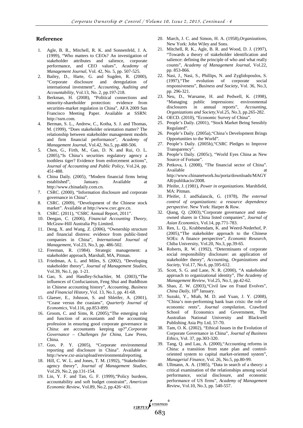#### Reference

- 1. Agle, B. R., Mitchell, R. K. and Sonnenfeld, J. A. (1999), "Who matters to CEOs? An investigation of stakeholder attributes and salience, corporate performance, and CEO values", *Academy of Management Journal*, Vol. 42, No. 5, pp. 507-525.
- 2. Bailey, D., Harte, G. and Sugden, R. (2000), "Corporate disclosure and deregulation of international investment", *Accounting, Auditing and Accountability*, Vol.13, No. 2, pp.197-218.
- 3. Berkman, H. (2008), "Political connections and minority-shareholder protection: evidence from securities-market regulation in China", AFA 2009 San Francisco Meeting Paper. Available at SSRN: http://ssrn.com.
- Berman, S. L., Andrew, C., Kotha, S. J. and Thomas, M. (1999), "Does stakeholder orientation matter? The relationship between stakeholder management models and firm financial performance", *Academy of Management Journa*l, Vol.42, No.5, pp.488-506.
- 5. Chen, G., Firth, M., Gao, D. N. and Rui, O. L. (2005),"Is China's securities regulatory agency a toothless tiger? Evidence from enforcement actions", *Journal of Accounting and Public Policy*, Vol.24, pp. 451-488.
- 6. China Daily. (2005), "Modern financial firms being established", January. Available at http://www.chinadaily.com.cn.
- 7. CSRC. (2000), "Information disclosure and corporate governance in China".
- 8. CSRC. (2009), "Development of the Chinese stock market". Available at http://www.csrc.gov.cn.
- 9. CSRC. (2011), "CSRC Annual Report, 2011".
- 10. Deegan, C. (2006), *Financial Accounting Theory*, McGraw-Hill Australia Pty Limited.
- 11. Deng, X. and Wang, Z. (2006), "Ownership structure and financial distress: evidence from public-listed companies in China", *International Journal of Management*, Vol.23, No.3, pp. 486-502.
- 12. Freeman, R. (1984). Strategic management: a stakeholder approach, Marshall, MA, Pitman.
- 13. Friedman, A. L. and Miles, S. (2002), "Developing stakeholder theory", *Journal of Management Studies*, Vol.39, No.1, pp. 1-21.
- 14. Gao, S. and Handley-Schachler, M. (2003),"The influences of Confucianism, Feng Shui and Buddhism in Chinese accounting history", *Accounting, Business and Financial History*, Vol. 13, No.1, pp. 41-68.
- 15. Glaeser, E., Johnson, S. and Shleifer, A. (2001), "Coase versus the coasians", *Quarterly Journal of Economics*, Vol.116, pp.853-899.
- 16. Groom, C. and Sims, R. (2005),"The emerging role and function of accountants and the accounting profession in ensuring good corporate governance in China: are accountants keeping up?",*Corporate Governance – Challenges for China*, Law Press, China.
- 17. Guo, P. Y. (2005), "Corporate environmental reporting and disclosure in China". Available at http://www.csr-asia/upload/environmentalreporting.
- 18. Hill, C. W. L. and Jones, T. M. (1992), "Stakeholderagency theory", *Journal of Management Studies*, Vol.29, No.2, pp.131-154.
- 19. Lin, Y. F. and Tan, G. F. (1999),"Policy burdens, accountability and soft budget constraint", *American Economic Review*, Vol.89, No.2, pp.426−431.
- 20. March, J. C. and Simon, H. A. (1958),*Organizations*, New York: John Wiley and Sons.
- 21. Mitchell, R. K., Agle, B. R. and Wood, D. J. (1997), "Towards a theory of stakeholder identification and salience: defining the principle of who and what really counts", *Academy of Management Journal*, Vol.22, pp. 853-866.
- 22. Nasi, J., Nasi, S., Phillips, N. and Zyglidopoulos, S. (1997),"The evolution of corporate social responsiveness", *Business and Society*, Vol. 36, No.3, pp. 296-321.
- 23. Neu, D., Warsame, H. and Pedwell, K. (1998), "Managing public impressions: environmental disclosures in annual reports", *Accounting, Organizations and Society,*Vol.25, No.3, pp.265-282.
- 24. OECD. (2010), "Economic Survey of China"*.*
- 25. People's Daily. (2001), "Stock Market Being Sensibly Regulated".
- 26. People's Daily. (2005a),"China's Development Brings Opportunities to the World".
- 27. People's Daily. (2005b),"CSRC Pledges to Improve Transparency".
- 28. People's Daily. (2005c), "World Eyes China as New Source of Fortune".
- 29. Petkova, I. (2008), "The financial sector of China". Available http://www.chinanetwork.hu/porta/downloads/MAGY AR/publikacio/2008.
- 30. Pfeifer, J. (1981), *Power in organizations*. Marshfield, MA: Pitman.
- 31. Pfeifer, J. andSalancik, G. (1978), *The external control of organizations: a resource dependence perspective*. New York: Harper & Row*.*
- 32. Qiang, Q. (2003),"Corporate governance and stateowned shares in China listed companies", *Journal of Asian Economics*, Vol.14, pp.771-783.
- 33. Ren, L. Q., Krabbendam, K. and Weerd-Nederhof, P. (2005),"The stakeholder approach to the Chinese SOEs: A finance perspective", *Economic Research*, Chiba University, Vol.20, No.3, pp.39-65.
- 34. Roberts, R. W. (1992), "Determinants of corporate social responsibility disclosure: an application of stakeholder theory", *Accounting, Organizations and Society*, Vol.17, No.6, pp.595-612.
- 35. Scott, S. G. and Lane, N. R. (2000), "A stakeholder approach to organizational identity", *The Academy of Management Review*, Vol.25, No.1, pp.42-62.
- 36. Shao, Z. W. (2003),"Civil law on Fraud Evolves", *China Daily*, 10<sup>th</sup> January.
- 37. Suzuki, Y., Miah, M. D. and Yuan, J. Y. (2008), "China's non-performing bank loan crisis: the role of economic rents", *Journal compilation*, Crawford School of Economics and Government, The Australian National University and Blackwell Publishing Asia Pty Ltd, 57-70.
- 38. Tam, O. K. (2002), "Ethical Issues in the Evolution of Corporate Governance in China", *Journal of Business Ethics*, Vol. 37, pp.303-320.
- 39. Tang, Q. and Lau, A. (2000),"Accounting reforms in China: a transition from state plan and controloriented system to capital market-oriented system", *Managerial Finance*, Vol. 26, No.5, pp.80-99.
- 40. Ullmann, A. A. (1985), "Data in search of a theory: a critical examination of the relationships among social performance, social disclosure, and economic performance of US firms", *Academy of Management Review*, Vol.10, No.3, pp. 540-557.